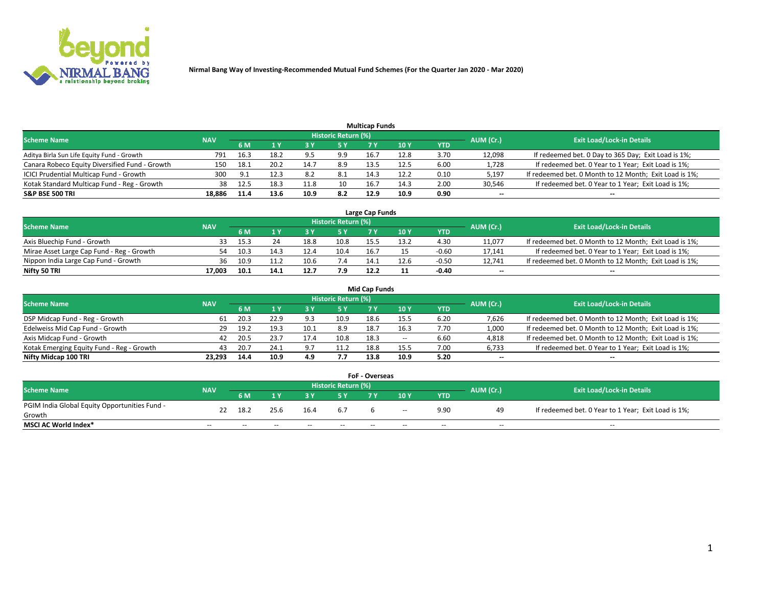

| <b>Multicap Funds</b>                          |            |       |      |      |                     |      |      |      |           |                                                        |  |  |  |  |
|------------------------------------------------|------------|-------|------|------|---------------------|------|------|------|-----------|--------------------------------------------------------|--|--|--|--|
| <b>Scheme Name</b>                             | <b>NAV</b> |       |      |      | Historic Return (%) |      |      |      | AUM (Cr.) | <b>Exit Load/Lock-in Details</b>                       |  |  |  |  |
|                                                |            | 6 M   |      |      | 5 Y                 |      | 10Y  | YTD  |           |                                                        |  |  |  |  |
| Aditya Birla Sun Life Equity Fund - Growth     | 791        | 16.3  | 18.2 | q =  | 9.9                 | 16.7 | 12.8 | 3.70 | 12,098    | If redeemed bet. 0 Day to 365 Day; Exit Load is 1%;    |  |  |  |  |
| Canara Robeco Equity Diversified Fund - Growth | 150        | 18.1  | 20.2 | 14.7 | 8.9                 | 13.5 | 12.5 | 6.00 | 1,728     | If redeemed bet. 0 Year to 1 Year; Exit Load is 1%;    |  |  |  |  |
| ICICI Prudential Multicap Fund - Growth        | 300        | - Q 1 | 12.3 | 8.2  | 8.1                 | 14.3 | 12.2 | 0.10 | 5,197     | If redeemed bet. 0 Month to 12 Month; Exit Load is 1%; |  |  |  |  |
| Kotak Standard Multicap Fund - Reg - Growth    | 38         | 12.5  | 18.3 |      | 10                  | 16.7 | 14.3 | 2.00 | 30,546    | If redeemed bet. 0 Year to 1 Year; Exit Load is 1%;    |  |  |  |  |
| <b>S&amp;P BSE 500 TRI</b>                     | 18.886     | 11.4  | 13.6 |      | 8.2                 | 12.9 | 10.9 | 0.90 | $\sim$    | $-$                                                    |  |  |  |  |

| Large Cap Funds                           |            |           |                                  |      |      |      |      |         |        |                                                        |  |  |  |  |
|-------------------------------------------|------------|-----------|----------------------------------|------|------|------|------|---------|--------|--------------------------------------------------------|--|--|--|--|
| Scheme Name                               | <b>NAV</b> | AUM (Cr.) | <b>Exit Load/Lock-in Details</b> |      |      |      |      |         |        |                                                        |  |  |  |  |
|                                           |            | 6 M       |                                  |      | 5 Y  |      | 10Y  | YTD     |        |                                                        |  |  |  |  |
| Axis Bluechip Fund - Growth               |            | 15.3      |                                  | 18.8 | 10.8 | 15.5 | 13.2 | 4.30    | 11,077 | If redeemed bet. 0 Month to 12 Month; Exit Load is 1%; |  |  |  |  |
| Mirae Asset Large Cap Fund - Reg - Growth | 54         | 10.3      |                                  |      | 10.4 | 16.7 |      | $-0.60$ | 17,141 | If redeemed bet. 0 Year to 1 Year; Exit Load is 1%;    |  |  |  |  |
| Nippon India Large Cap Fund - Growth      | 36         | 10.9      |                                  | 10.6 | 7.4  | 14.1 | 12.6 | $-0.50$ | 12,741 | If redeemed bet. 0 Month to 12 Month; Exit Load is 1%; |  |  |  |  |
| Nifty 50 TRI                              | 17.003     | 10.1      | 14.1                             | 12.7 | 7.9  | 12.2 |      | $-0.40$ | $\sim$ | $\sim$                                                 |  |  |  |  |

|                                           |            |      |      |      |                     | <b>Mid Cap Funds</b> |      |            |           |                                                        |
|-------------------------------------------|------------|------|------|------|---------------------|----------------------|------|------------|-----------|--------------------------------------------------------|
| <b>Scheme Name</b>                        | <b>NAV</b> |      |      |      | Historic Return (%) |                      |      |            | AUM (Cr.) | <b>Exit Load/Lock-in Details</b>                       |
|                                           |            | 6 M  |      |      | 5 Y                 |                      | 10 Y | <b>YTD</b> |           |                                                        |
| DSP Midcap Fund - Reg - Growth            | 61         | 20.3 | 22.9 | 9.3  | 10.9                | 18.6                 | 15.5 | 6.20       | 7,626     | If redeemed bet. 0 Month to 12 Month; Exit Load is 1%; |
| Edelweiss Mid Cap Fund - Growth           | 29         | 19.2 | 19.3 | 10.1 | 8.9                 | 18.7                 | 16.3 | 7.70       | 1,000     | If redeemed bet. 0 Month to 12 Month; Exit Load is 1%; |
| Axis Midcap Fund - Growth                 | 42         | 20.5 | 23.7 | 17.4 | 10.8                | 18.3                 | $-$  | 6.60       | 4,818     | If redeemed bet. 0 Month to 12 Month; Exit Load is 1%; |
| Kotak Emerging Equity Fund - Reg - Growth | 43         | 20.7 | 24.1 | 9.7  | 11.2                | 18.8                 | 15.5 | 7.00       | 6,733     | If redeemed bet. 0 Year to 1 Year; Exit Load is 1%;    |
| Nifty Midcap 100 TRI                      | 23.293     | 14.4 | 10.9 | 4.9  | 7.7                 | 13.8                 | 10.9 | 5.20       | $\sim$    | $\sim$                                                 |

| <b>FoF - Overseas</b>                         |            |           |       |       |                            |  |        |            |           |                                                     |  |  |  |
|-----------------------------------------------|------------|-----------|-------|-------|----------------------------|--|--------|------------|-----------|-----------------------------------------------------|--|--|--|
| <b>Scheme Name</b>                            | <b>NAV</b> |           |       |       | <b>Historic Return (%)</b> |  |        |            | AUM (Cr.) | <b>Exit Load/Lock-in Details</b>                    |  |  |  |
|                                               |            | <b>6M</b> |       |       |                            |  | 10Y    | <b>YTD</b> |           |                                                     |  |  |  |
| PGIM India Global Equity Opportunities Fund - | 22         | 18.2      | 25.6  | 16.4  | 6.7                        |  | $\sim$ | 9.90       | 49        | If redeemed bet. 0 Year to 1 Year; Exit Load is 1%; |  |  |  |
| Growth                                        |            |           |       |       |                            |  |        |            |           |                                                     |  |  |  |
| <b>MSCI AC World Index*</b>                   | $- -$      | $- -$     | $- -$ | $- -$ | $- -$                      |  | $- -$  | $- -$      | $- -$     | $- -$                                               |  |  |  |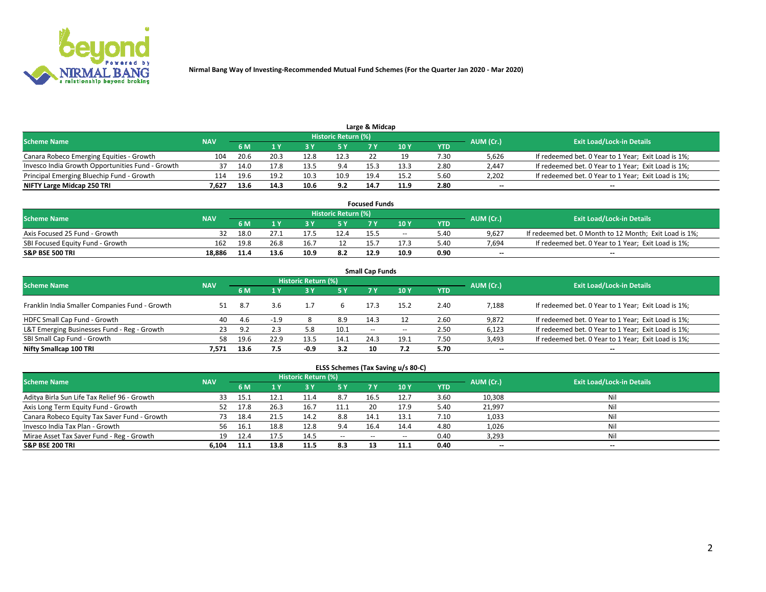

| <b>Scheme Name</b>                               |            |      |      |      | Historic Return (%) |      |      |            |                          |                                                     |
|--------------------------------------------------|------------|------|------|------|---------------------|------|------|------------|--------------------------|-----------------------------------------------------|
|                                                  | <b>NAV</b> | 5 M  |      |      | 5 Y                 |      | 10Y  | <b>YTD</b> | AUM (Cr.)                | <b>Exit Load/Lock-in Details</b>                    |
| Canara Robeco Emerging Equities - Growth         | 104        | 20.6 | 20.3 | 12.8 | 12.3                |      |      | 7.30       | 5,626                    | If redeemed bet. 0 Year to 1 Year; Exit Load is 1%; |
| Invesco India Growth Opportunities Fund - Growth | 37         | 14.0 |      | 13.5 | 9.4                 | 15.3 | 13.3 | 2.80       | 2,447                    | If redeemed bet. 0 Year to 1 Year; Exit Load is 1%; |
| Principal Emerging Bluechip Fund - Growth        | 114        | 19.6 | 19.2 | 10.3 | 10.9                | 19.4 | 15.2 | 5.60       | 2,202                    | If redeemed bet. 0 Year to 1 Year; Exit Load is 1%; |
| NIFTY Large Midcap 250 TRI                       | 7.627      | 13.6 | 14.3 | 10.6 | 9.2                 | 14.7 | 11.9 | 2.80       | $\overline{\phantom{a}}$ | $- -$                                               |

| <b>Focused Funds</b>             |            |            |      |  |                     |      |       |      |           |                                                        |  |  |  |
|----------------------------------|------------|------------|------|--|---------------------|------|-------|------|-----------|--------------------------------------------------------|--|--|--|
| <b>Scheme Name</b>               | <b>NAV</b> |            |      |  | Historic Return (%) |      |       |      | AUM (Cr.) | <b>Exit Load/Lock-in Details</b>                       |  |  |  |
|                                  |            | <b>6 M</b> |      |  |                     |      | 10 Y  | YTD  |           |                                                        |  |  |  |
| Axis Focused 25 Fund - Growth    |            | 18.0       |      |  | 12.4                | 15.5 | $- -$ | 5.40 | 9.627     | If redeemed bet. 0 Month to 12 Month; Exit Load is 1%; |  |  |  |
| SBI Focused Equity Fund - Growth | 162        | 19.8       | 26.8 |  |                     |      | 17.5  | 5.40 | 7.694     | If redeemed bet. 0 Year to 1 Year; Exit Load is 1%;    |  |  |  |
| <b>S&amp;P BSE 500 TRI</b>       | 18.886     | 11.4       | 13.6 |  | 8.2                 | 12.9 | 10.9  | 0.90 | $\sim$    | $- -$                                                  |  |  |  |

| <b>Small Cap Funds</b>                         |            |      |        |                            |      |               |       |      |           |                                                     |  |  |  |  |
|------------------------------------------------|------------|------|--------|----------------------------|------|---------------|-------|------|-----------|-----------------------------------------------------|--|--|--|--|
| <b>Scheme Name</b>                             | <b>NAV</b> |      |        | <b>Historic Return (%)</b> |      |               |       |      | AUM (Cr.) | <b>Exit Load/Lock-in Details</b>                    |  |  |  |  |
|                                                |            | 6 M  |        | 3Y                         | 5 Y  | 7 Y           | 10Y   | YTD  |           |                                                     |  |  |  |  |
| Franklin India Smaller Companies Fund - Growth |            | 8.7  | 3.6    |                            |      | 17.3          | 15.2  | 2.40 | 7,188     | If redeemed bet. 0 Year to 1 Year; Exit Load is 1%; |  |  |  |  |
| HDFC Small Cap Fund - Growth                   | 40         | -4.6 | $-1.9$ |                            | 8.9  | 14.3          |       | 2.60 | 9,872     | If redeemed bet. 0 Year to 1 Year; Exit Load is 1%; |  |  |  |  |
| L&T Emerging Businesses Fund - Reg - Growth    | -23        | 9.2  | 2.3    | 5.8                        | 10.1 | $\sim$ $\sim$ | $- -$ | 2.50 | 6,123     | If redeemed bet. 0 Year to 1 Year; Exit Load is 1%; |  |  |  |  |
| SBI Small Cap Fund - Growth                    | 58.        | 19.6 | 22.9   | 13.5                       | 14.1 | 24.3          | 19.1  | 7.50 | 3,493     | If redeemed bet. 0 Year to 1 Year; Exit Load is 1%; |  |  |  |  |
| Nifty Smallcap 100 TRI                         | 7.571      | 13.6 | 7.5    | $-0.9$                     | 3.2  | 10            |       | 5.70 | $\sim$    | $- -$                                               |  |  |  |  |

## **ELSS Schemes (Tax Saving u/s 80-C)**

| <b>Scheme Name</b>                           | <b>NAV</b> |      |      | <b>Historic Return (%)</b> |           |       |      |      | AUM (Cr.) | <b>Exit Load/Lock-in Details</b> |
|----------------------------------------------|------------|------|------|----------------------------|-----------|-------|------|------|-----------|----------------------------------|
|                                              |            | 6 M  | 1 Y  | 3 Y                        | <b>5Y</b> | 7 Y   | 10Y  | YTD  |           |                                  |
| Aditya Birla Sun Life Tax Relief 96 - Growth | 33         | 15.1 |      | 11.4                       | 8.7       | -16.5 | 12.7 | 3.60 | 10,308    | Nil                              |
| Axis Long Term Equity Fund - Growth          | 52         | 17.8 | 26.3 | 16.7                       | 11.1      | 20    | 17.9 | 5.40 | 21,997    | Nil                              |
| Canara Robeco Equity Tax Saver Fund - Growth | 73         | 18.4 |      | 14.2                       | 8.8       | 14.1  | 13.1 | 7.10 | 1,033     | Nil                              |
| Invesco India Tax Plan - Growth              | 56         | 16.1 | 18.8 | 12.8                       | 9.4       | 16.4  | 14.4 | 4.80 | 1,026     | Nil                              |
| Mirae Asset Tax Saver Fund - Reg - Growth    | 19         |      |      | 14.5                       | $- -$     | --    | --   | 0.40 | 3,293     | Nil                              |
| S&P BSE 200 TRI                              | 6.104      | 11.1 | 13.8 | 11.5                       | 8.3       | 13    | 11.1 | 0.40 | $\sim$    | $- -$                            |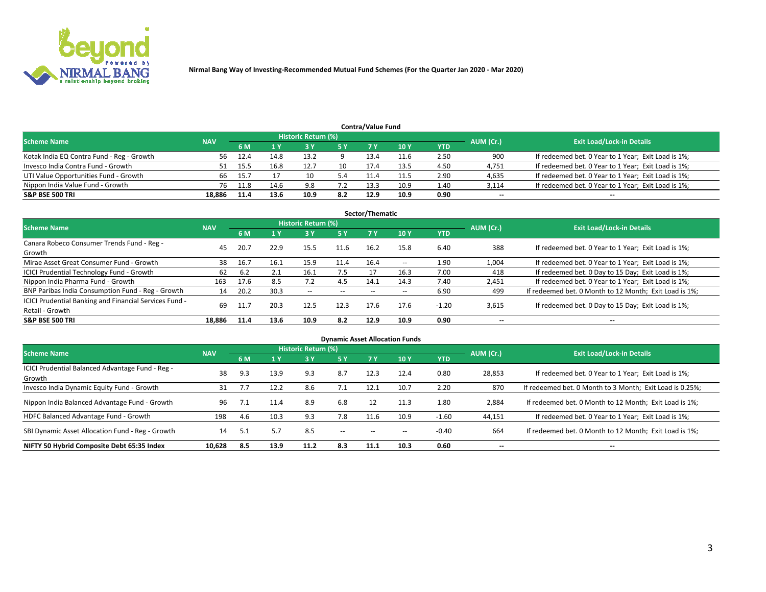

|                                           |            |      |      | Historic Return (%) |     | <b>Contra/Value Fund</b> |      |      |           |                                                     |
|-------------------------------------------|------------|------|------|---------------------|-----|--------------------------|------|------|-----------|-----------------------------------------------------|
| <b>Scheme Name</b>                        | <b>NAV</b> | 6 M  |      |                     | 5 Y | 7 Y                      | 10Y  | YTD  | AUM (Cr.) | <b>Exit Load/Lock-in Details</b>                    |
| Kotak India EQ Contra Fund - Reg - Growth | 56         | 12.4 | 14.8 | 13.2                |     | 13.4                     | 11.6 | 2.50 | 900       | If redeemed bet. 0 Year to 1 Year; Exit Load is 1%; |
| Invesco India Contra Fund - Growth        |            |      | 16.8 |                     | 10  | 17.4                     | 13.5 | 4.50 | 4,751     | If redeemed bet. 0 Year to 1 Year; Exit Load is 1%; |
| UTI Value Opportunities Fund - Growth     | 66         | 15.7 |      | 10                  | 5.4 |                          | 11.5 | 2.90 | 4,635     | If redeemed bet. 0 Year to 1 Year; Exit Load is 1%; |
| Nippon India Value Fund - Growth          | 76         | 11.8 | 14.6 | 9.8                 |     | 13.3                     | 10.9 | 1.40 | 3,114     | If redeemed bet. 0 Year to 1 Year; Exit Load is 1%; |
| <b>S&amp;P BSE 500 TRI</b>                | 18.886     | 11.4 | 13.6 | 10.9                | 8.2 | 12.9                     | 10.9 | 0.90 | $\sim$    | $- -$                                               |

| Sector/Thematic                                                           |            |      |      |                     |           |       |                          |            |                          |                                                        |  |  |  |
|---------------------------------------------------------------------------|------------|------|------|---------------------|-----------|-------|--------------------------|------------|--------------------------|--------------------------------------------------------|--|--|--|
| <b>Scheme Name</b>                                                        | <b>NAV</b> |      |      | Historic Return (%) |           |       |                          |            | AUM (Cr.)                | <b>Exit Load/Lock-in Details</b>                       |  |  |  |
|                                                                           |            | 6 M  | 1 Y  | 73 Y                | <b>5Y</b> | 7 Y   | 10Y                      | <b>YTD</b> |                          |                                                        |  |  |  |
| Canara Robeco Consumer Trends Fund - Reg -<br>Growth                      | 45         | 20.7 | 22.9 | 15.5                | 11.6      | 16.2  | 15.8                     | 6.40       | 388                      | If redeemed bet. 0 Year to 1 Year; Exit Load is 1%;    |  |  |  |
| Mirae Asset Great Consumer Fund - Growth                                  | 38         | 16.7 | 16.1 | 15.9                | 11.4      | 16.4  | $\overline{\phantom{a}}$ | 1.90       | 1,004                    | If redeemed bet. 0 Year to 1 Year; Exit Load is 1%;    |  |  |  |
| <b>ICICI Prudential Technology Fund - Growth</b>                          | 62         | 6.2  | 2.1  | 16.1                | 7.5       |       | 16.3                     | 7.00       | 418                      | If redeemed bet. 0 Day to 15 Day; Exit Load is 1%;     |  |  |  |
| Nippon India Pharma Fund - Growth                                         | 163        | 17.6 | 8.5  | 7.2                 | 4.5       | 14.1  | 14.3                     | 7.40       | 2,451                    | If redeemed bet. 0 Year to 1 Year; Exit Load is 1%;    |  |  |  |
| BNP Paribas India Consumption Fund - Reg - Growth                         | 14         | 20.2 | 30.3 | $- -$               | $- -$     | $- -$ | $- -$                    | 6.90       | 499                      | If redeemed bet. 0 Month to 12 Month; Exit Load is 1%; |  |  |  |
| ICICI Prudential Banking and Financial Services Fund -<br>Retail - Growth | 69         | 11.7 | 20.3 | 12.5                | 12.3      | 17.6  | 17.6                     | $-1.20$    | 3,615                    | If redeemed bet. 0 Day to 15 Day; Exit Load is 1%;     |  |  |  |
| <b>S&amp;P BSE 500 TRI</b>                                                | 18.886     | 11.4 | 13.6 | 10.9                | 8.2       | 12.9  | 10.9                     | 0.90       | $\overline{\phantom{a}}$ | $\overline{\phantom{a}}$                               |  |  |  |

| <b>Dynamic Asset Allocation Funds</b>                      |            |     |      |                     |               |                          |                 |            |           |                                                          |  |  |  |
|------------------------------------------------------------|------------|-----|------|---------------------|---------------|--------------------------|-----------------|------------|-----------|----------------------------------------------------------|--|--|--|
| <b>Scheme Name</b>                                         | <b>NAV</b> |     |      | Historic Return (%) |               |                          |                 |            |           | <b>Exit Load/Lock-in Details</b>                         |  |  |  |
|                                                            |            | 6 M |      | 3 Y                 | 5 Y           |                          | 10 <sub>Y</sub> | <b>YTD</b> | AUM (Cr.) |                                                          |  |  |  |
| ICICI Prudential Balanced Advantage Fund - Reg -<br>Growth | 38         | 9.3 | 13.9 | 9.3                 | 8.7           | 12.3                     | 12.4            | 0.80       | 28,853    | If redeemed bet. 0 Year to 1 Year; Exit Load is 1%;      |  |  |  |
| Invesco India Dynamic Equity Fund - Growth                 | 31         |     | 12.2 | 8.6                 | 7.1           | 12.1                     | 10.7            | 2.20       | 870       | If redeemed bet. 0 Month to 3 Month; Exit Load is 0.25%; |  |  |  |
| Nippon India Balanced Advantage Fund - Growth              | 96         | 7.1 | 11.4 | 8.9                 | 6.8           | 12                       | 11.3            | 1.80       | 2,884     | If redeemed bet. 0 Month to 12 Month; Exit Load is 1%;   |  |  |  |
| HDFC Balanced Advantage Fund - Growth                      | 198        | 4.6 | 10.3 | 9.3                 | 7.8           | 11.6                     | 10.9            | $-1.60$    | 44,151    | If redeemed bet. 0 Year to 1 Year; Exit Load is 1%;      |  |  |  |
| SBI Dynamic Asset Allocation Fund - Reg - Growth           | 14         | 5.1 | 5.7  | 8.5                 | $\sim$ $\sim$ | $\overline{\phantom{a}}$ | $- -$           | $-0.40$    | 664       | If redeemed bet. 0 Month to 12 Month; Exit Load is 1%;   |  |  |  |
| NIFTY 50 Hybrid Composite Debt 65:35 Index                 | 10,628     | 8.5 | 13.9 | 11.2                | 8.3           | 11.1                     | 10.3            | 0.60       | $\sim$    | $\overline{\phantom{a}}$                                 |  |  |  |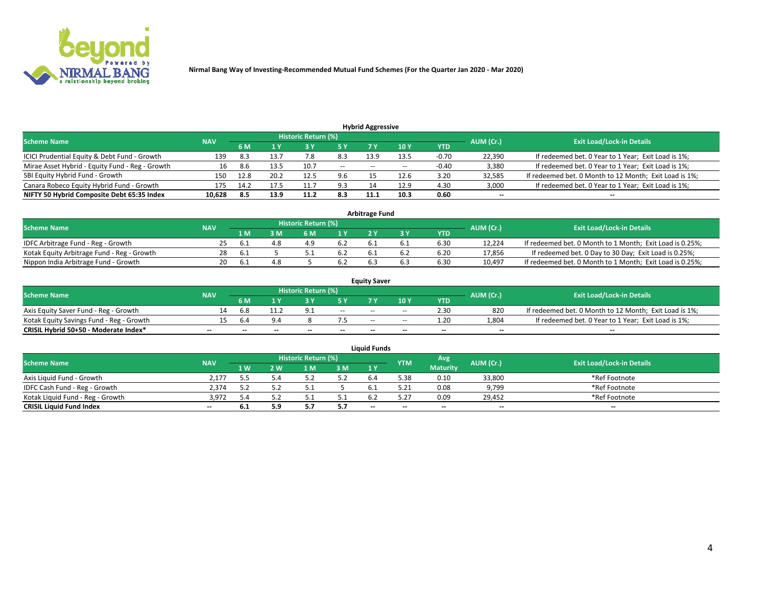

| <b>Hybrid Aggressive</b>                        |                                  |      |      |      |        |                          |       |         |                          |                                                        |  |  |  |  |
|-------------------------------------------------|----------------------------------|------|------|------|--------|--------------------------|-------|---------|--------------------------|--------------------------------------------------------|--|--|--|--|
| <b>Scheme Name</b>                              | <b>Exit Load/Lock-in Details</b> |      |      |      |        |                          |       |         |                          |                                                        |  |  |  |  |
|                                                 | <b>NAV</b>                       | 6 M  |      |      |        |                          | 10Y   | YTD     | AUM (Cr.)                |                                                        |  |  |  |  |
| ICICI Prudential Equity & Debt Fund - Growth    | 139                              | 8.3  | 13.7 |      | 8.3    | 13.9                     | 13.5  | $-0.70$ | 22,390                   | If redeemed bet. 0 Year to 1 Year; Exit Load is 1%;    |  |  |  |  |
| Mirae Asset Hybrid - Equity Fund - Reg - Growth | 16                               | 8.6  | 13.5 | 10.7 | $\sim$ | $\overline{\phantom{a}}$ | $- -$ | $-0.40$ | 3,380                    | If redeemed bet. 0 Year to 1 Year; Exit Load is 1%;    |  |  |  |  |
| SBI Equity Hybrid Fund - Growth                 | 150                              | 12.8 | 20.2 | 12.5 | 9.6    |                          | 12.6  | 3.20    | 32,585                   | If redeemed bet. 0 Month to 12 Month; Exit Load is 1%; |  |  |  |  |
| Canara Robeco Equity Hybrid Fund - Growth       | 175                              | 14.2 |      |      | 9.3    |                          | 12.9  | 4.30    | 3,000                    | If redeemed bet. 0 Year to 1 Year; Exit Load is 1%;    |  |  |  |  |
| NIFTY 50 Hybrid Composite Debt 65:35 Index      | 10,628                           | -8.5 | 13.9 | 11.2 | 8.3    | 11.1                     | 10.3  | 0.60    | $\overline{\phantom{a}}$ | $- -$                                                  |  |  |  |  |

|                                            | <b>Arbitrage Fund</b> |                                  |     |     |      |   |  |      |        |                                                          |  |  |  |  |  |
|--------------------------------------------|-----------------------|----------------------------------|-----|-----|------|---|--|------|--------|----------------------------------------------------------|--|--|--|--|--|
| Scheme Name                                | AUM (Cr.)             | <b>Exit Load/Lock-in Details</b> |     |     |      |   |  |      |        |                                                          |  |  |  |  |  |
|                                            | <b>NAV</b>            | 1 M                              | ያ M | 6 M |      |   |  | YTD  |        |                                                          |  |  |  |  |  |
| IDFC Arbitrage Fund - Reg - Growth         | 25.                   | . Ե. Հ                           |     |     | 6.2  |   |  | 6.30 | 12.224 | If redeemed bet. 0 Month to 1 Month; Exit Load is 0.25%; |  |  |  |  |  |
| Kotak Equity Arbitrage Fund - Reg - Growth | 28                    | -6.1                             |     |     | -6.2 |   |  | 6.20 | 17,856 | If redeemed bet. 0 Day to 30 Day; Exit Load is 0.25%;    |  |  |  |  |  |
| Nippon India Arbitrage Fund - Growth       | 20                    | h.                               |     |     | 6.2  | b |  | 6.30 | 10.497 | If redeemed bet. 0 Month to 1 Month; Exit Load is 0.25%; |  |  |  |  |  |

|                                          | <b>Equity Saver</b> |           |                                  |                          |                          |               |               |            |                          |                                                        |  |  |  |  |  |
|------------------------------------------|---------------------|-----------|----------------------------------|--------------------------|--------------------------|---------------|---------------|------------|--------------------------|--------------------------------------------------------|--|--|--|--|--|
| Scheme Name                              | <b>NAV</b>          | AUM (Cr.) | <b>Exit Load/Lock-in Details</b> |                          |                          |               |               |            |                          |                                                        |  |  |  |  |  |
|                                          |                     | 6 M       |                                  |                          | 5 Y                      |               | $\sqrt{10}$ Y | <b>YTD</b> |                          |                                                        |  |  |  |  |  |
| Axis Equity Saver Fund - Reg - Growth    |                     | 6.8       | 11.2                             | $\Omega$                 | $\sim$                   | $-$           | $- -$         | 2.30       | 820                      | If redeemed bet. 0 Month to 12 Month; Exit Load is 1%; |  |  |  |  |  |
| Kotak Equity Savings Fund - Reg - Growth |                     | b.4       | 9.4                              |                          |                          | $\sim$ $\sim$ | $- -$         | 1.20       | 1,804                    | If redeemed bet. 0 Year to 1 Year; Exit Load is 1%;    |  |  |  |  |  |
| CRISIL Hybrid 50+50 - Moderate Index*    |                     | $- -$     | $-$                              | $\overline{\phantom{a}}$ | $\overline{\phantom{a}}$ | $\sim$        | --            | $\sim$     | $\overline{\phantom{a}}$ | $- -$                                                  |  |  |  |  |  |

| <b>Liquid Funds</b>              |            |      |     |                            |      |        |            |                 |           |                                  |  |  |  |  |
|----------------------------------|------------|------|-----|----------------------------|------|--------|------------|-----------------|-----------|----------------------------------|--|--|--|--|
| Scheme Name                      | <b>NAV</b> |      |     | <b>Historic Return (%)</b> |      |        | <b>YTM</b> | Avg             | AUM (Cr.) | <b>Exit Load/Lock-in Details</b> |  |  |  |  |
|                                  |            | 1 W. | 2 W | 1 M                        | 3 M  | 71 Y   |            | <b>Maturity</b> |           |                                  |  |  |  |  |
| Axis Liquid Fund - Growth        | 2,177      |      |     |                            | 5.2  |        | 5.38       | 0.10            | 33,800    | *Ref Footnote                    |  |  |  |  |
| IDFC Cash Fund - Reg - Growth    | 2,374      |      |     |                            |      |        | 5.21       | 0.08            | 9,799     | *Ref Footnote                    |  |  |  |  |
| Kotak Liquid Fund - Reg - Growth | 3,972      |      |     |                            | ۰۰ ت |        |            | 0.09            | 29,452    | *Ref Footnote                    |  |  |  |  |
| <b>CRISIL Liquid Fund Index</b>  | $\sim$     | b. L | 5.9 |                            | 5.7  | $\sim$ | $-$        | $\sim$          | $\sim$    | $\sim$                           |  |  |  |  |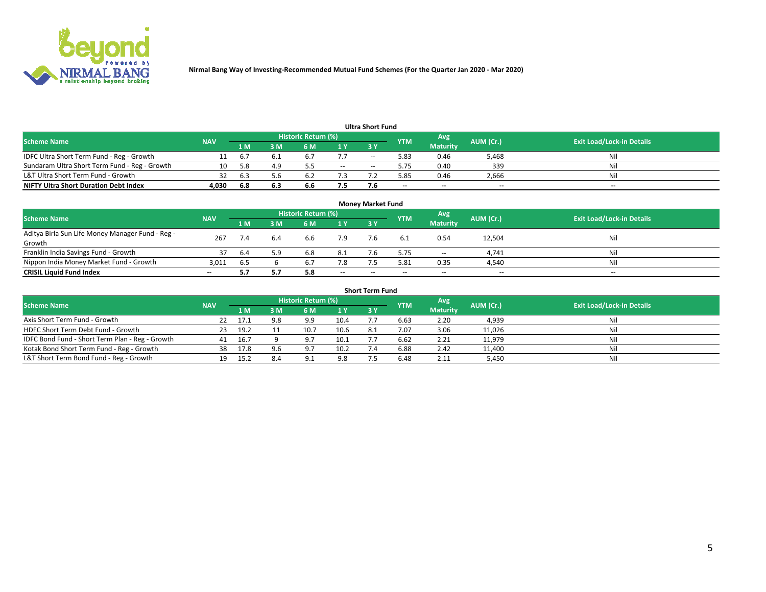

| <b>Ultra Short Fund</b>                       |            |      |     |                            |       |       |            |                 |           |                                  |  |  |  |  |
|-----------------------------------------------|------------|------|-----|----------------------------|-------|-------|------------|-----------------|-----------|----------------------------------|--|--|--|--|
| <b>Scheme Name</b>                            | <b>NAV</b> |      |     | <b>Historic Return (%)</b> |       |       | <b>YTM</b> | Avg             | AUM (Cr.) | <b>Exit Load/Lock-in Details</b> |  |  |  |  |
|                                               |            | 1 M  | 3 M | 6 M                        | 1 Y   | 3 Y   |            | <b>Maturity</b> |           |                                  |  |  |  |  |
| IDFC Ultra Short Term Fund - Reg - Growth     |            | b.7  |     | <b>b.,</b>                 | 7.7   | $- -$ | 5.83       | 0.46            | 5,468     | Nil                              |  |  |  |  |
| Sundaram Ultra Short Term Fund - Reg - Growth | 10         | -5.8 | 4.9 |                            | $- -$ | --    | 5.75       | 0.40            | 339       | Nil                              |  |  |  |  |
| L&T Ultra Short Term Fund - Growth            |            | 6.3  | 5.b |                            |       |       | .85        | 0.46            | 2,666     | Nil                              |  |  |  |  |
| <b>NIFTY Ultra Short Duration Debt Index</b>  | 4.030      | 6.8  | 6.3 | 6.6                        | 7.5   |       | $\sim$     | $\sim$          | $\sim$    | $- -$                            |  |  |  |  |

| <b>Money Market Fund</b>                         |            |      |     |                     |        |    |            |                 |           |                                  |  |  |  |
|--------------------------------------------------|------------|------|-----|---------------------|--------|----|------------|-----------------|-----------|----------------------------------|--|--|--|
| <b>Scheme Name</b>                               | <b>NAV</b> |      |     | Historic Return (%) |        |    | <b>YTM</b> | 'Avg            | AUM (Cr.) | <b>Exit Load/Lock-in Details</b> |  |  |  |
|                                                  |            | 1 M  | 3 M | 6 M                 | 1 Y    | 3Y |            | <b>Maturity</b> |           |                                  |  |  |  |
| Aditya Birla Sun Life Money Manager Fund - Reg - | 267        |      | 6.4 | 6.6                 | 7.9    |    |            | 0.54            | 12,504    | Nil                              |  |  |  |
| Growth<br>Franklin India Savings Fund - Growth   |            |      | 5.9 |                     |        |    | 5.75       |                 |           | Nil                              |  |  |  |
|                                                  | 37         | -6.4 |     | 6.8                 | 8.1    |    |            | $\sim$          | 4,741     |                                  |  |  |  |
| Nippon India Money Market Fund - Growth          | 3,011      | 6.5  |     | 6.7                 | 7.8    |    | 5.81       | 0.35            | 4,540     | Nil                              |  |  |  |
| <b>CRISIL Liquid Fund Index</b>                  | $- -$      |      |     | 5.8                 | $\sim$ | -- | --         | $\sim$          | $\sim$    | $\sim$                           |  |  |  |

| <b>Short Term Fund</b>                          |            |      |     |                            |      |           |            |                 |           |                                  |  |  |  |  |
|-------------------------------------------------|------------|------|-----|----------------------------|------|-----------|------------|-----------------|-----------|----------------------------------|--|--|--|--|
| <b>Scheme Name</b>                              | <b>NAV</b> |      |     | <b>Historic Return (%)</b> |      |           | <b>YTM</b> | Avg             | AUM (Cr.) | <b>Exit Load/Lock-in Details</b> |  |  |  |  |
|                                                 |            | 1 M  | 3 M | 6 M                        | 1Y   | <b>3Y</b> |            | <b>Maturity</b> |           |                                  |  |  |  |  |
| Axis Short Term Fund - Growth                   |            | 17.1 | 9.8 | 9.9                        | 10.4 |           | 6.63       | 2.20            | 4,939     | Nil                              |  |  |  |  |
| HDFC Short Term Debt Fund - Growth              | -23        | 19.2 |     | 10.7                       | 10.6 | 8.1       | 7.07       | 3.06            | 11,026    | Nil                              |  |  |  |  |
| IDFC Bond Fund - Short Term Plan - Reg - Growth | 41         | 16.7 |     | 97                         | 10.1 |           | 6.62       | 2.21            | 11,979    | Nil                              |  |  |  |  |
| Kotak Bond Short Term Fund - Reg - Growth       | 38         | 17.8 | 9.6 | 9.7                        | 10.2 |           | 6.88       | 2.42            | 11,400    | Nil                              |  |  |  |  |
| L&T Short Term Bond Fund - Reg - Growth         |            | 15.2 | 8.4 | $\Omega$ 1                 | 9.8  |           | 6.48       | 2.11            | 5,450     | Nil                              |  |  |  |  |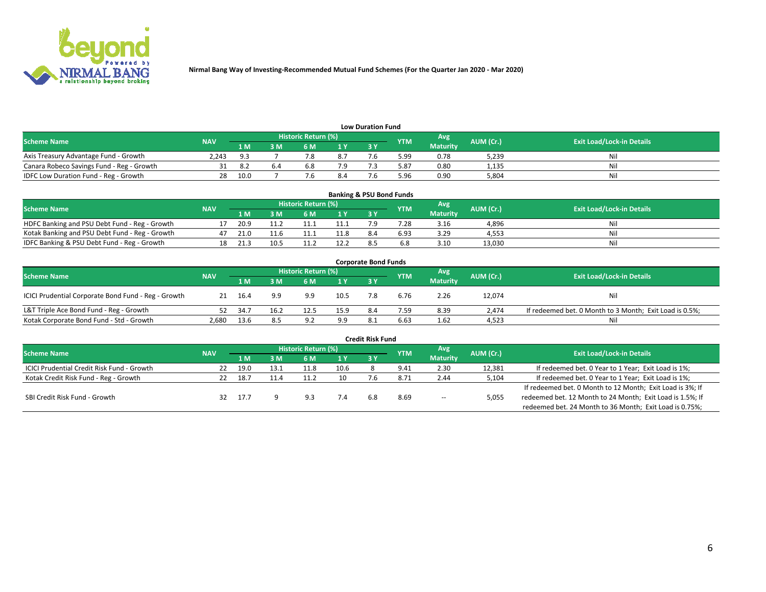

| <b>Low Duration Fund</b>                  |            |       |     |                            |     |    |            |                 |           |                                  |  |  |  |  |
|-------------------------------------------|------------|-------|-----|----------------------------|-----|----|------------|-----------------|-----------|----------------------------------|--|--|--|--|
| <b>Scheme Name</b>                        | <b>NAV</b> |       |     | <b>Historic Return (%)</b> |     |    | <b>YTM</b> | Avg             | AUM (Cr.) | <b>Exit Load/Lock-in Details</b> |  |  |  |  |
|                                           |            | 1 M   | : M | 5 M                        | 1 V | 2V |            | <b>Maturity</b> |           |                                  |  |  |  |  |
| Axis Treasury Advantage Fund - Growth     | 2.243      | - ฉ ว |     |                            | 8.7 |    | 5.99       | 0.78            | 5,239     | Nil                              |  |  |  |  |
| Canara Robeco Savings Fund - Reg - Growth |            |       | b.4 | b.ŏ                        |     |    | 5.87       | 0.80            | 1,135     | Nil                              |  |  |  |  |
| IDFC Low Duration Fund - Reg - Growth     | 28         | 10.0  |     |                            |     |    | 5.96       | 0.90            | 5,804     | Nil                              |  |  |  |  |

| <b>Banking &amp; PSU Bond Funds</b>            |            |      |      |                            |           |           |            |                 |           |                                  |  |  |  |
|------------------------------------------------|------------|------|------|----------------------------|-----------|-----------|------------|-----------------|-----------|----------------------------------|--|--|--|
| <b>Scheme Name</b>                             | <b>NAV</b> |      |      | <b>Historic Return (%)</b> |           |           | <b>YTM</b> | Avg             | AUM (Cr.) | <b>Exit Load/Lock-in Details</b> |  |  |  |
|                                                |            | 1 M  | sм   | 6 M                        | <b>1Y</b> | <b>3Y</b> |            | <b>Maturity</b> |           |                                  |  |  |  |
| HDFC Banking and PSU Debt Fund - Reg - Growth  |            | 20.9 |      |                            | 11.1      |           | 7.28       | 3.16            | 4,896     | Ni                               |  |  |  |
| Kotak Banking and PSU Debt Fund - Reg - Growth |            | 21.0 | 11.6 |                            | 11.8      | 8.4       | 6.93       | 3.29            | 4.553     | Ni                               |  |  |  |
| IDFC Banking & PSU Debt Fund - Reg - Growth    |            | 21.3 |      |                            | 12.2      |           |            | 3.10            | 13.030    | Ni                               |  |  |  |

| <b>Corporate Bond Funds</b>                         |            |      |                         |                     |      |     |            |                 |           |                                                         |  |  |  |
|-----------------------------------------------------|------------|------|-------------------------|---------------------|------|-----|------------|-----------------|-----------|---------------------------------------------------------|--|--|--|
| <b>Scheme Name</b>                                  | <b>NAV</b> |      |                         | Historic Return (%) |      |     | <b>YTM</b> | Avg             | AUM (Cr.) | <b>Exit Load/Lock-in Details</b>                        |  |  |  |
|                                                     |            | 1 M  | $\overline{\mathsf{M}}$ | 6 M                 | 1Y   | 3V  |            | <b>Maturity</b> |           |                                                         |  |  |  |
| ICICI Prudential Corporate Bond Fund - Reg - Growth | 21         | 16.4 | 9.9                     | 9.9                 | 10.5 |     | 6.76       | 2.26            | 12,074    | Nil                                                     |  |  |  |
| L&T Triple Ace Bond Fund - Reg - Growth             |            | 34.7 | 16.2                    | 12.5                | 15.9 | 8.4 | 7.59       | 8.39            | 2.474     | If redeemed bet. 0 Month to 3 Month; Exit Load is 0.5%; |  |  |  |
| Kotak Corporate Bond Fund - Std - Growth            | 2,680      | 13.6 | 8.5                     | a d<br><u>.</u>     | 9.9  |     | 6.63       | 1.62            | 4,523     | Nil                                                     |  |  |  |

| <b>Credit Risk Fund</b>                    |            |      |      |                     |      |     |               |                 |           |                                                           |  |  |  |
|--------------------------------------------|------------|------|------|---------------------|------|-----|---------------|-----------------|-----------|-----------------------------------------------------------|--|--|--|
| <b>Scheme Name</b>                         | <b>NAV</b> |      |      | Historic Return (%) |      |     | <b>YTM</b>    | Avg             | AUM (Cr.) | <b>Exit Load/Lock-in Details</b>                          |  |  |  |
|                                            |            | 1 M  | I M  | 6 M                 | 1 Y  | 3Y  |               | <b>Maturity</b> |           |                                                           |  |  |  |
| ICICI Prudential Credit Risk Fund - Growth | 22         | 19.0 | 13.1 | 11.8                | 10.6 |     | 9.41          | 2.30            | 12,381    | If redeemed bet. 0 Year to 1 Year; Exit Load is 1%;       |  |  |  |
| Kotak Credit Risk Fund - Reg - Growth      |            | 18.7 |      |                     | 10   |     | $8.7^{\circ}$ | 2.44            | 5,104     | If redeemed bet. 0 Year to 1 Year; Exit Load is 1%;       |  |  |  |
|                                            |            |      |      |                     |      |     |               |                 |           | If redeemed bet. 0 Month to 12 Month; Exit Load is 3%; If |  |  |  |
| SBI Credit Risk Fund - Growth              | 32.        | 17.7 |      | Q <sub>2</sub>      |      | 6.8 | 8.69          | $\sim$          | 5,055     | redeemed bet. 12 Month to 24 Month; Exit Load is 1.5%; If |  |  |  |
|                                            |            |      |      |                     |      |     |               |                 |           | redeemed bet. 24 Month to 36 Month; Exit Load is 0.75%;   |  |  |  |